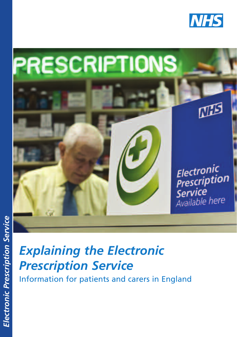



### *Explaining the Electronic Prescription Service*

Information for patients and carers in England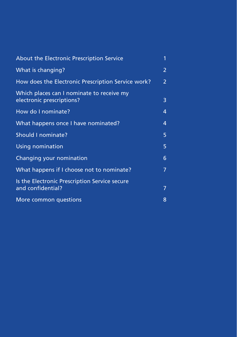| About the Electronic Prescription Service                              | 1              |
|------------------------------------------------------------------------|----------------|
| What is changing?                                                      | 2              |
| How does the Electronic Prescription Service work?                     | $\overline{2}$ |
| Which places can I nominate to receive my<br>electronic prescriptions? | 3              |
| How do I nominate?                                                     | 4              |
| What happens once I have nominated?                                    | 4              |
| Should I nominate?                                                     | 5              |
| <b>Using nomination</b>                                                | 5              |
| Changing your nomination                                               | 6              |
| What happens if I choose not to nominate?                              | 7              |
| Is the Electronic Prescription Service secure<br>and confidential?     | 7              |
| More common questions                                                  | 8              |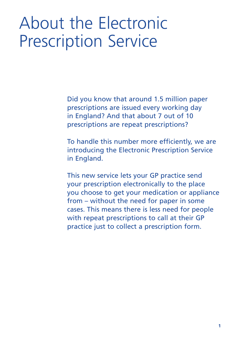# About the Electronic Prescription Service

Did you know that around 1.5 million paper prescriptions are issued every working day in England? And that about 7 out of 10 prescriptions are repeat prescriptions?

To handle this number more efficiently, we are introducing the Electronic Prescription Service in England.

This new service lets your GP practice send your prescription electronically to the place you choose to get your medication or appliance from – without the need for paper in some cases. This means there is less need for people with repeat prescriptions to call at their GP practice just to collect a prescription form.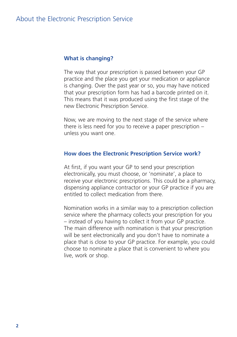#### **What is changing?**

The way that your prescription is passed between your GP practice and the place you get your medication or appliance is changing. Over the past year or so, you may have noticed that your prescription form has had a barcode printed on it. This means that it was produced using the first stage of the new Electronic Prescription Service.

Now, we are moving to the next stage of the service where there is less need for you to receive a paper prescription – unless you want one.

#### **How does the Electronic Prescription Service work?**

At first, if you want your GP to send your prescription electronically, you must choose, or 'nominate', a place to receive your electronic prescriptions. This could be a pharmacy, dispensing appliance contractor or your GP practice if you are entitled to collect medication from there.

Nomination works in a similar way to a prescription collection service where the pharmacy collects your prescription for you – instead of you having to collect it from your GP practice. The main difference with nomination is that your prescription will be sent electronically and you don't have to nominate a place that is close to your GP practice. For example, you could choose to nominate a place that is convenient to where you live, work or shop.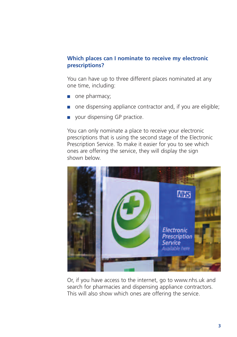#### **Which places can I nominate to receive my electronic prescriptions?**

You can have up to three different places nominated at any one time, including:

- one pharmacy;
- one dispensing appliance contractor and, if you are eligible;
- your dispensing GP practice.

You can only nominate a place to receive your electronic prescriptions that is using the second stage of the Electronic Prescription Service. To make it easier for you to see which ones are offering the service, they will display the sign shown below.



Or, if you have access to the internet, go to www.nhs.uk and search for pharmacies and dispensing appliance contractors. This will also show which ones are offering the service.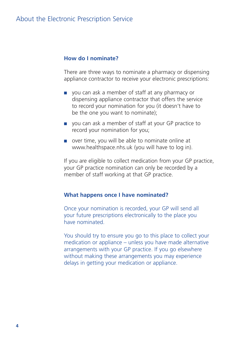#### **How do I nominate?**

There are three ways to nominate a pharmacy or dispensing appliance contractor to receive your electronic prescriptions:

- you can ask a member of staff at any pharmacy or dispensing appliance contractor that offers the service to record your nomination for you (it doesn't have to be the one you want to nominate);
- you can ask a member of staff at your GP practice to record your nomination for you;
- over time, you will be able to nominate online at www.healthspace.nhs.uk (you will have to log in).

If you are eligible to collect medication from your GP practice, your GP practice nomination can only be recorded by a member of staff working at that GP practice.

#### **What happens once I have nominated?**

Once your nomination is recorded, your GP will send all your future prescriptions electronically to the place you have nominated.

You should try to ensure you go to this place to collect your medication or appliance – unless you have made alternative arrangements with your GP practice. If you go elsewhere without making these arrangements you may experience delays in getting your medication or appliance.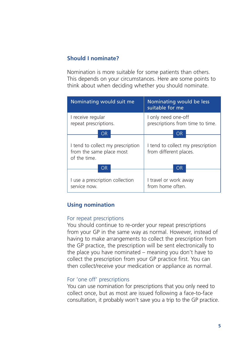#### **Should I nominate?**

Nomination is more suitable for some patients than others. This depends on your circumstances. Here are some points to think about when deciding whether you should nominate.

| Nominating would suit me                                                     | Nominating would be less<br>suitable for me                 |
|------------------------------------------------------------------------------|-------------------------------------------------------------|
| I receive regular<br>repeat prescriptions.                                   | I only need one-off<br>prescriptions from time to time.     |
| ΟR                                                                           | OR                                                          |
| I tend to collect my prescription<br>from the same place most<br>of the time | I tend to collect my prescription<br>from different places. |
| ΟR                                                                           | ΟR                                                          |
| I use a prescription collection<br>service now.                              | I travel or work away<br>from home often                    |

#### **Using nomination**

#### For repeat prescriptions

You should continue to re-order your repeat prescriptions from your GP in the same way as normal. However, instead of having to make arrangements to collect the prescription from the GP practice, the prescription will be sent electronically to the place you have nominated – meaning you don't have to collect the prescription from your GP practice first. You can then collect/receive your medication or appliance as normal.

#### For 'one off' prescriptions

You can use nomination for prescriptions that you only need to collect once, but as most are issued following a face-to-face consultation, it probably won't save you a trip to the GP practice.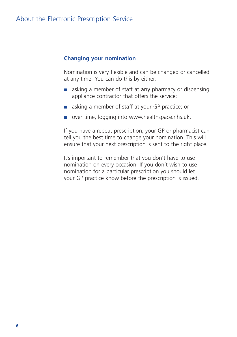#### **Changing your nomination**

Nomination is very flexible and can be changed or cancelled at any time. You can do this by either:

- asking a member of staff at **any** pharmacy or dispensing appliance contractor that offers the service;
- asking a member of staff at your GP practice; or
- over time, logging into www.healthspace.nhs.uk.

If you have a repeat prescription, your GP or pharmacist can tell you the best time to change your nomination. This will ensure that your next prescription is sent to the right place.

It's important to remember that you don't have to use nomination on every occasion. If you don't wish to use nomination for a particular prescription you should let your GP practice know before the prescription is issued.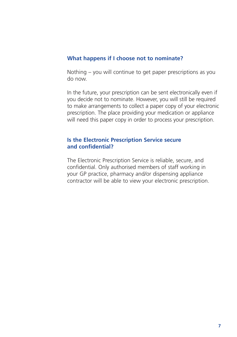#### **What happens if I choose not to nominate?**

Nothing – you will continue to get paper prescriptions as you do now.

In the future, your prescription can be sent electronically even if you decide not to nominate. However, you will still be required to make arrangements to collect a paper copy of your electronic prescription. The place providing your medication or appliance will need this paper copy in order to process your prescription.

#### **Is the Electronic Prescription Service secure and confidential?**

The Electronic Prescription Service is reliable, secure, and confidential. Only authorised members of staff working in your GP practice, pharmacy and/or dispensing appliance contractor will be able to view your electronic prescription.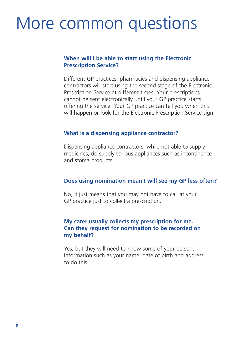## More common questions

#### **When will I be able to start using the Electronic Prescription Service?**

Different GP practices, pharmacies and dispensing appliance contractors will start using the second stage of the Electronic Prescription Service at different times. Your prescriptions cannot be sent electronically until your GP practice starts offering the service. Your GP practice can tell you when this will happen or look for the Electronic Prescription Service sign.

#### **What is a dispensing appliance contractor?**

Dispensing appliance contractors, while not able to supply medicines, do supply various appliances such as incontinence and stoma products.

#### **Does using nomination mean I will see my GP less often?**

No, it just means that you may not have to call at your GP practice just to collect a prescription.

#### **My carer usually collects my prescription for me. Can they request for nomination to be recorded on my behalf?**

Yes, but they will need to know some of your personal information such as your name, date of birth and address to do this.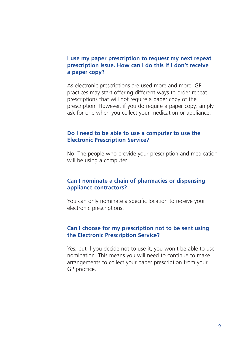#### **I use my paper prescription to request my next repeat prescription issue. How can I do this if I don't receive a paper copy?**

As electronic prescriptions are used more and more, GP practices may start offering different ways to order repeat prescriptions that will not require a paper copy of the prescription. However, if you do require a paper copy, simply ask for one when you collect your medication or appliance.

#### **Do I need to be able to use a computer to use the Electronic Prescription Service?**

No. The people who provide your prescription and medication will be using a computer.

#### **Can I nominate a chain of pharmacies or dispensing appliance contractors?**

You can only nominate a specific location to receive your electronic prescriptions.

#### **Can I choose for my prescription not to be sent using the Electronic Prescription Service?**

Yes, but if you decide not to use it, you won't be able to use nomination. This means you will need to continue to make arrangements to collect your paper prescription from your GP practice.